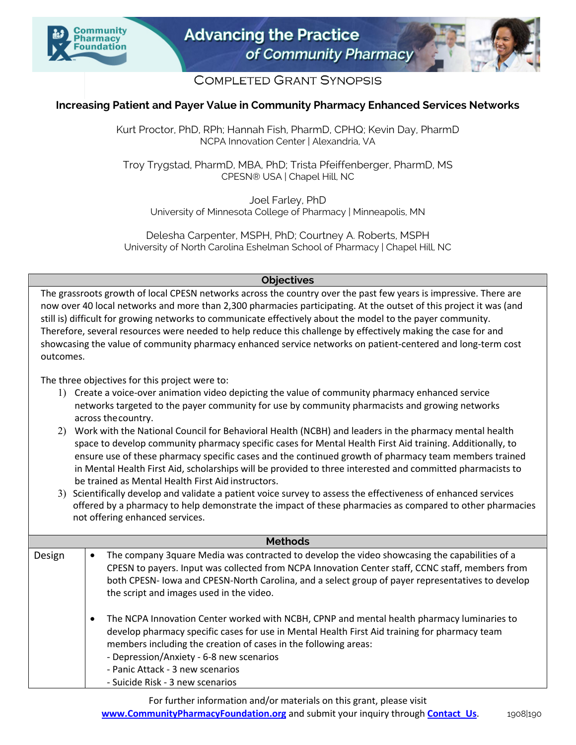



## **COMPLETED GRANT SYNOPSIS**

## **Increasing Patient and Payer Value in Community Pharmacy Enhanced Services Networks**

Kurt Proctor, PhD, RPh; Hannah Fish, PharmD, CPHQ; Kevin Day, PharmD NCPA Innovation Center | Alexandria, VA

Troy Trygstad, PharmD, MBA, PhD; Trista Pfeiffenberger, PharmD, MS CPESN® USA | Chapel Hill, NC

Joel Farley, PhD University of Minnesota College of Pharmacy | Minneapolis, MN

Delesha Carpenter, MSPH, PhD; Courtney A. Roberts, MSPH University of North Carolina Eshelman School of Pharmacy | Chapel Hill, NC

## **Objectives**

The grassroots growth of local CPESN networks across the country over the past few years is impressive. There are now over 40 local networks and more than 2,300 pharmacies participating. At the outset of this project it was (and still is) difficult for growing networks to communicate effectively about the model to the payer community. Therefore, several resources were needed to help reduce this challenge by effectively making the case for and showcasing the value of community pharmacy enhanced service networks on patient-centered and long-term cost outcomes.

The three objectives for this project were to:

- 1) Create a voice-over animation video depicting the value of community pharmacy enhanced service networks targeted to the payer community for use by community pharmacists and growing networks across thecountry.
- 2) Work with the National Council for Behavioral Health (NCBH) and leaders in the pharmacy mental health space to develop community pharmacy specific cases for Mental Health First Aid training. Additionally, to ensure use of these pharmacy specific cases and the continued growth of pharmacy team members trained in Mental Health First Aid, scholarships will be provided to three interested and committed pharmacists to be trained as Mental Health First Aid instructors.
- 3) Scientifically develop and validate a patient voice survey to assess the effectiveness of enhanced services offered by a pharmacy to help demonstrate the impact of these pharmacies as compared to other pharmacies not offering enhanced services.

| <b>Methods</b> |           |                                                                                                                                                                                                                                                                                                                                                                                    |
|----------------|-----------|------------------------------------------------------------------------------------------------------------------------------------------------------------------------------------------------------------------------------------------------------------------------------------------------------------------------------------------------------------------------------------|
| Design         | $\bullet$ | The company 3quare Media was contracted to develop the video showcasing the capabilities of a<br>CPESN to payers. Input was collected from NCPA Innovation Center staff, CCNC staff, members from<br>both CPESN- lowa and CPESN-North Carolina, and a select group of payer representatives to develop<br>the script and images used in the video.                                 |
|                | $\bullet$ | The NCPA Innovation Center worked with NCBH, CPNP and mental health pharmacy luminaries to<br>develop pharmacy specific cases for use in Mental Health First Aid training for pharmacy team<br>members including the creation of cases in the following areas:<br>- Depression/Anxiety - 6-8 new scenarios<br>- Panic Attack - 3 new scenarios<br>- Suicide Risk - 3 new scenarios |

For further information and/or materials on this grant, please visit **www.CommunityPharmacyFoundation.org** and submit your inquiry through **Contact Us.** 1908|190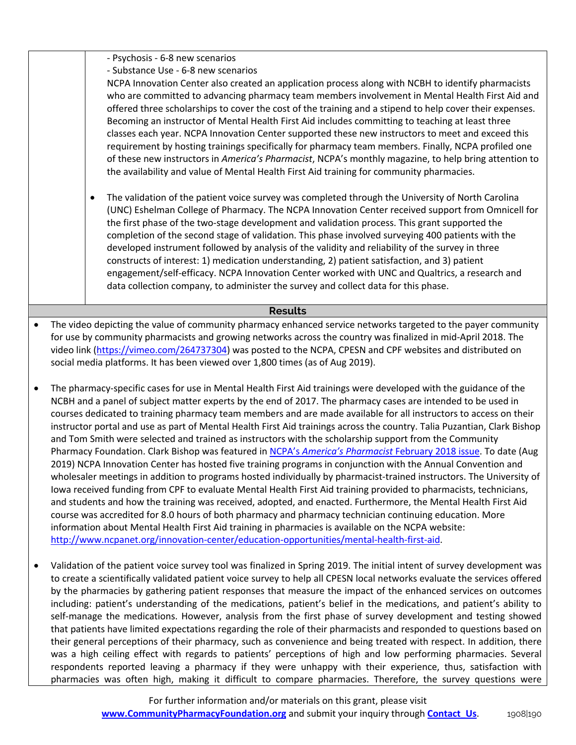|                                                                                                                                                                                                                                                                                                                                                                                                                                                                                                                                                                                                                                                                                                                                                                                                                                                                                                                                                                                                                                                                                                                                                                                                                                                                                                                                                                                                                                                                                                                          | - Psychosis - 6-8 new scenarios                                                                                                                                                                                                                                                                                                                                                                                                                                                                                                                                                                                                                                                                                                                                                                                                                                                                                                                                                                                                                                                            |  |  |
|--------------------------------------------------------------------------------------------------------------------------------------------------------------------------------------------------------------------------------------------------------------------------------------------------------------------------------------------------------------------------------------------------------------------------------------------------------------------------------------------------------------------------------------------------------------------------------------------------------------------------------------------------------------------------------------------------------------------------------------------------------------------------------------------------------------------------------------------------------------------------------------------------------------------------------------------------------------------------------------------------------------------------------------------------------------------------------------------------------------------------------------------------------------------------------------------------------------------------------------------------------------------------------------------------------------------------------------------------------------------------------------------------------------------------------------------------------------------------------------------------------------------------|--------------------------------------------------------------------------------------------------------------------------------------------------------------------------------------------------------------------------------------------------------------------------------------------------------------------------------------------------------------------------------------------------------------------------------------------------------------------------------------------------------------------------------------------------------------------------------------------------------------------------------------------------------------------------------------------------------------------------------------------------------------------------------------------------------------------------------------------------------------------------------------------------------------------------------------------------------------------------------------------------------------------------------------------------------------------------------------------|--|--|
|                                                                                                                                                                                                                                                                                                                                                                                                                                                                                                                                                                                                                                                                                                                                                                                                                                                                                                                                                                                                                                                                                                                                                                                                                                                                                                                                                                                                                                                                                                                          | - Substance Use - 6-8 new scenarios<br>NCPA Innovation Center also created an application process along with NCBH to identify pharmacists<br>who are committed to advancing pharmacy team members involvement in Mental Health First Aid and<br>offered three scholarships to cover the cost of the training and a stipend to help cover their expenses.<br>Becoming an instructor of Mental Health First Aid includes committing to teaching at least three<br>classes each year. NCPA Innovation Center supported these new instructors to meet and exceed this<br>requirement by hosting trainings specifically for pharmacy team members. Finally, NCPA profiled one<br>of these new instructors in America's Pharmacist, NCPA's monthly magazine, to help bring attention to<br>the availability and value of Mental Health First Aid training for community pharmacies.                                                                                                                                                                                                              |  |  |
| $\bullet$                                                                                                                                                                                                                                                                                                                                                                                                                                                                                                                                                                                                                                                                                                                                                                                                                                                                                                                                                                                                                                                                                                                                                                                                                                                                                                                                                                                                                                                                                                                | The validation of the patient voice survey was completed through the University of North Carolina<br>(UNC) Eshelman College of Pharmacy. The NCPA Innovation Center received support from Omnicell for<br>the first phase of the two-stage development and validation process. This grant supported the<br>completion of the second stage of validation. This phase involved surveying 400 patients with the<br>developed instrument followed by analysis of the validity and reliability of the survey in three<br>constructs of interest: 1) medication understanding, 2) patient satisfaction, and 3) patient<br>engagement/self-efficacy. NCPA Innovation Center worked with UNC and Qualtrics, a research and<br>data collection company, to administer the survey and collect data for this phase.                                                                                                                                                                                                                                                                                   |  |  |
|                                                                                                                                                                                                                                                                                                                                                                                                                                                                                                                                                                                                                                                                                                                                                                                                                                                                                                                                                                                                                                                                                                                                                                                                                                                                                                                                                                                                                                                                                                                          | <b>Results</b>                                                                                                                                                                                                                                                                                                                                                                                                                                                                                                                                                                                                                                                                                                                                                                                                                                                                                                                                                                                                                                                                             |  |  |
| $\bullet$                                                                                                                                                                                                                                                                                                                                                                                                                                                                                                                                                                                                                                                                                                                                                                                                                                                                                                                                                                                                                                                                                                                                                                                                                                                                                                                                                                                                                                                                                                                | The video depicting the value of community pharmacy enhanced service networks targeted to the payer community<br>for use by community pharmacists and growing networks across the country was finalized in mid-April 2018. The<br>video link (https://vimeo.com/264737304) was posted to the NCPA, CPESN and CPF websites and distributed on<br>social media platforms. It has been viewed over 1,800 times (as of Aug 2019).                                                                                                                                                                                                                                                                                                                                                                                                                                                                                                                                                                                                                                                              |  |  |
| The pharmacy-specific cases for use in Mental Health First Aid trainings were developed with the guidance of the<br>$\bullet$<br>NCBH and a panel of subject matter experts by the end of 2017. The pharmacy cases are intended to be used in<br>courses dedicated to training pharmacy team members and are made available for all instructors to access on their<br>instructor portal and use as part of Mental Health First Aid trainings across the country. Talia Puzantian, Clark Bishop<br>and Tom Smith were selected and trained as instructors with the scholarship support from the Community<br>Pharmacy Foundation. Clark Bishop was featured in NCPA's America's Pharmacist February 2018 issue. To date (Aug<br>2019) NCPA Innovation Center has hosted five training programs in conjunction with the Annual Convention and<br>wholesaler meetings in addition to programs hosted individually by pharmacist-trained instructors. The University of<br>lowa received funding from CPF to evaluate Mental Health First Aid training provided to pharmacists, technicians,<br>and students and how the training was received, adopted, and enacted. Furthermore, the Mental Health First Aid<br>course was accredited for 8.0 hours of both pharmacy and pharmacy technician continuing education. More<br>information about Mental Health First Aid training in pharmacies is available on the NCPA website:<br>http://www.ncpanet.org/innovation-center/education-opportunities/mental-health-first-aid. |                                                                                                                                                                                                                                                                                                                                                                                                                                                                                                                                                                                                                                                                                                                                                                                                                                                                                                                                                                                                                                                                                            |  |  |
| $\bullet$                                                                                                                                                                                                                                                                                                                                                                                                                                                                                                                                                                                                                                                                                                                                                                                                                                                                                                                                                                                                                                                                                                                                                                                                                                                                                                                                                                                                                                                                                                                | Validation of the patient voice survey tool was finalized in Spring 2019. The initial intent of survey development was<br>to create a scientifically validated patient voice survey to help all CPESN local networks evaluate the services offered<br>by the pharmacies by gathering patient responses that measure the impact of the enhanced services on outcomes<br>including: patient's understanding of the medications, patient's belief in the medications, and patient's ability to<br>self-manage the medications. However, analysis from the first phase of survey development and testing showed<br>that patients have limited expectations regarding the role of their pharmacists and responded to questions based on<br>their general perceptions of their pharmacy, such as convenience and being treated with respect. In addition, there<br>was a high ceiling effect with regards to patients' perceptions of high and low performing pharmacies. Several<br>respondents reported leaving a pharmacy if they were unhappy with their experience, thus, satisfaction with |  |  |

For further information and/or materials on this grant, please visit **www.CommunityPharmacyFoundation.org** and submit your inquiry through **Contact Us**. 1908|190

pharmacies was often high, making it difficult to compare pharmacies. Therefore, the survey questions were